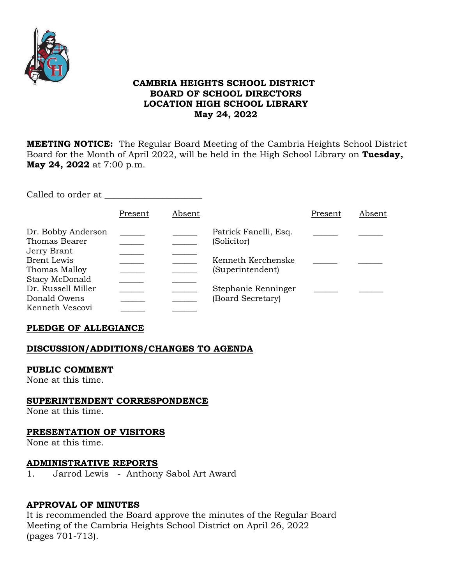

### **CAMBRIA HEIGHTS SCHOOL DISTRICT BOARD OF SCHOOL DIRECTORS LOCATION HIGH SCHOOL LIBRARY May 24, 2022**

**MEETING NOTICE:** The Regular Board Meeting of the Cambria Heights School District Board for the Month of April 2022, will be held in the High School Library on **Tuesday, May 24, 2022** at 7:00 p.m.

Called to order at \_\_\_\_\_\_\_\_\_\_\_\_\_\_\_\_\_\_\_\_\_\_

|                                                                                | Present | Absent |                                          | Present | Absent |
|--------------------------------------------------------------------------------|---------|--------|------------------------------------------|---------|--------|
| Dr. Bobby Anderson<br>Thomas Bearer                                            |         |        | Patrick Fanelli, Esq.<br>(Solicitor)     |         |        |
| Jerry Brant<br><b>Brent Lewis</b><br>Thomas Malloy                             |         |        | Kenneth Kerchenske<br>(Superintendent)   |         |        |
| <b>Stacy McDonald</b><br>Dr. Russell Miller<br>Donald Owens<br>Kenneth Vescovi |         |        | Stephanie Renninger<br>(Board Secretary) |         |        |

### **PLEDGE OF ALLEGIANCE**

## **DISCUSSION/ADDITIONS/CHANGES TO AGENDA**

### **PUBLIC COMMENT**

None at this time.

#### **SUPERINTENDENT CORRESPONDENCE**

None at this time.

#### **PRESENTATION OF VISITORS**

None at this time.

#### **ADMINISTRATIVE REPORTS**

1. Jarrod Lewis - Anthony Sabol Art Award

### **APPROVAL OF MINUTES**

It is recommended the Board approve the minutes of the Regular Board Meeting of the Cambria Heights School District on April 26, 2022 (pages 701-713).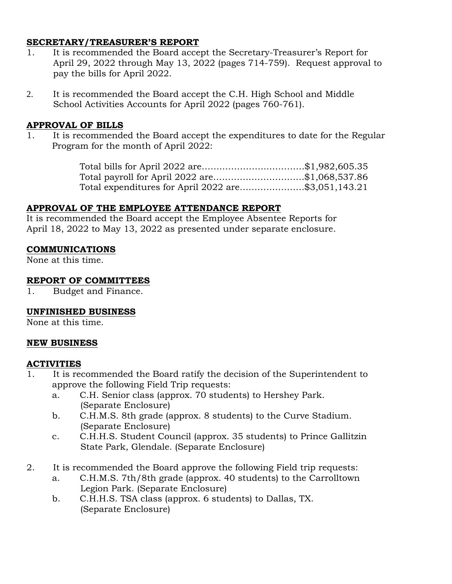### **SECRETARY/TREASURER'S REPORT**

- 1. It is recommended the Board accept the Secretary-Treasurer's Report for April 29, 2022 through May 13, 2022 (pages 714-759). Request approval to pay the bills for April 2022.
- 2. It is recommended the Board accept the C.H. High School and Middle School Activities Accounts for April 2022 (pages 760-761).

### **APPROVAL OF BILLS**

1. It is recommended the Board accept the expenditures to date for the Regular Program for the month of April 2022:

| Total bills for April 2022 are\$1,982,605.35        |  |
|-----------------------------------------------------|--|
| Total payroll for April 2022 are\$1,068,537.86      |  |
| Total expenditures for April 2022 are\$3,051,143.21 |  |

## **APPROVAL OF THE EMPLOYEE ATTENDANCE REPORT**

It is recommended the Board accept the Employee Absentee Reports for April 18, 2022 to May 13, 2022 as presented under separate enclosure.

## **COMMUNICATIONS**

None at this time.

### **REPORT OF COMMITTEES**

1. Budget and Finance.

### **UNFINISHED BUSINESS**

None at this time.

## **NEW BUSINESS**

### **ACTIVITIES**

- 1. It is recommended the Board ratify the decision of the Superintendent to approve the following Field Trip requests:
	- a. C.H. Senior class (approx. 70 students) to Hershey Park. (Separate Enclosure)
	- b. C.H.M.S. 8th grade (approx. 8 students) to the Curve Stadium. (Separate Enclosure)
	- c. C.H.H.S. Student Council (approx. 35 students) to Prince Gallitzin State Park, Glendale. (Separate Enclosure)
- 2. It is recommended the Board approve the following Field trip requests:
	- a. C.H.M.S. 7th/8th grade (approx. 40 students) to the Carrolltown Legion Park. (Separate Enclosure)
	- b. C.H.H.S. TSA class (approx. 6 students) to Dallas, TX. (Separate Enclosure)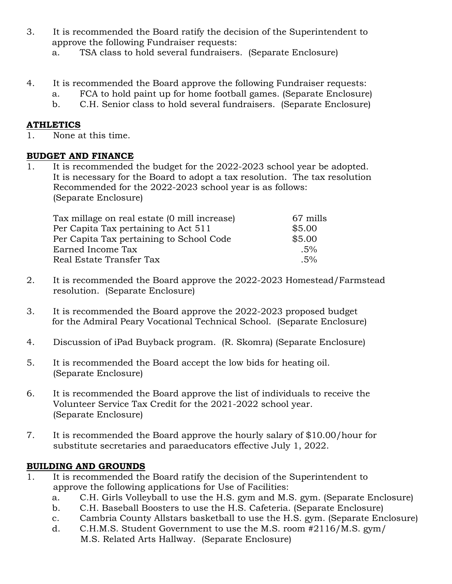- 3. It is recommended the Board ratify the decision of the Superintendent to approve the following Fundraiser requests:
	- a. TSA class to hold several fundraisers. (Separate Enclosure)
- 4. It is recommended the Board approve the following Fundraiser requests: a. FCA to hold paint up for home football games. (Separate Enclosure)
	- b. C.H. Senior class to hold several fundraisers. (Separate Enclosure)

## **ATHLETICS**

1. None at this time.

# **BUDGET AND FINANCE**

1. It is recommended the budget for the 2022-2023 school year be adopted. It is necessary for the Board to adopt a tax resolution. The tax resolution Recommended for the 2022-2023 school year is as follows: (Separate Enclosure)

| Tax millage on real estate (0 mill increase) | 67 mills |
|----------------------------------------------|----------|
| Per Capita Tax pertaining to Act 511         | \$5.00   |
| Per Capita Tax pertaining to School Code     | \$5.00   |
| Earned Income Tax                            | $.5\%$   |
| Real Estate Transfer Tax                     | $.5\%$   |

- 2. It is recommended the Board approve the 2022-2023 Homestead/Farmstead resolution. (Separate Enclosure)
- 3. It is recommended the Board approve the 2022-2023 proposed budget for the Admiral Peary Vocational Technical School. (Separate Enclosure)
- 4. Discussion of iPad Buyback program. (R. Skomra) (Separate Enclosure)
- 5. It is recommended the Board accept the low bids for heating oil. (Separate Enclosure)
- 6. It is recommended the Board approve the list of individuals to receive the Volunteer Service Tax Credit for the 2021-2022 school year. (Separate Enclosure)
- 7. It is recommended the Board approve the hourly salary of \$10.00/hour for substitute secretaries and paraeducators effective July 1, 2022.

# **BUILDING AND GROUNDS**

- 1. It is recommended the Board ratify the decision of the Superintendent to approve the following applications for Use of Facilities:
	- a. C.H. Girls Volleyball to use the H.S. gym and M.S. gym. (Separate Enclosure)
	- b. C.H. Baseball Boosters to use the H.S. Cafeteria. (Separate Enclosure)
	- c. Cambria County Allstars basketball to use the H.S. gym. (Separate Enclosure)
	- d. C.H.M.S. Student Government to use the M.S. room #2116/M.S. gym/ M.S. Related Arts Hallway. (Separate Enclosure)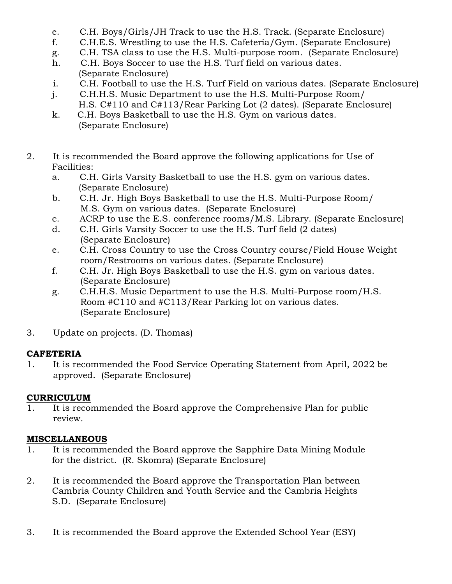- e. C.H. Boys/Girls/JH Track to use the H.S. Track. (Separate Enclosure)
- f. C.H.E.S. Wrestling to use the H.S. Cafeteria/Gym. (Separate Enclosure)
- g. C.H. TSA class to use the H.S. Multi-purpose room. (Separate Enclosure)
- h. C.H. Boys Soccer to use the H.S. Turf field on various dates. (Separate Enclosure)
- i. C.H. Football to use the H.S. Turf Field on various dates. (Separate Enclosure)
- j. C.H.H.S. Music Department to use the H.S. Multi-Purpose Room/ H.S. C#110 and C#113/Rear Parking Lot (2 dates). (Separate Enclosure)
- k. C.H. Boys Basketball to use the H.S. Gym on various dates. (Separate Enclosure)
- 2. It is recommended the Board approve the following applications for Use of Facilities:
	- a. C.H. Girls Varsity Basketball to use the H.S. gym on various dates. (Separate Enclosure)
	- b. C.H. Jr. High Boys Basketball to use the H.S. Multi-Purpose Room/ M.S. Gym on various dates. (Separate Enclosure)
	- c. ACRP to use the E.S. conference rooms/M.S. Library. (Separate Enclosure)
	- d. C.H. Girls Varsity Soccer to use the H.S. Turf field (2 dates) (Separate Enclosure)
	- e. C.H. Cross Country to use the Cross Country course/Field House Weight room/Restrooms on various dates. (Separate Enclosure)
	- f. C.H. Jr. High Boys Basketball to use the H.S. gym on various dates. (Separate Enclosure)
	- g. C.H.H.S. Music Department to use the H.S. Multi-Purpose room/H.S. Room #C110 and #C113/Rear Parking lot on various dates. (Separate Enclosure)
- 3. Update on projects. (D. Thomas)

## **CAFETERIA**

1. It is recommended the Food Service Operating Statement from April, 2022 be approved. (Separate Enclosure)

## **CURRICULUM**

1. It is recommended the Board approve the Comprehensive Plan for public review.

## **MISCELLANEOUS**

- 1. It is recommended the Board approve the Sapphire Data Mining Module for the district. (R. Skomra) (Separate Enclosure)
- 2. It is recommended the Board approve the Transportation Plan between Cambria County Children and Youth Service and the Cambria Heights S.D. (Separate Enclosure)
- 3. It is recommended the Board approve the Extended School Year (ESY)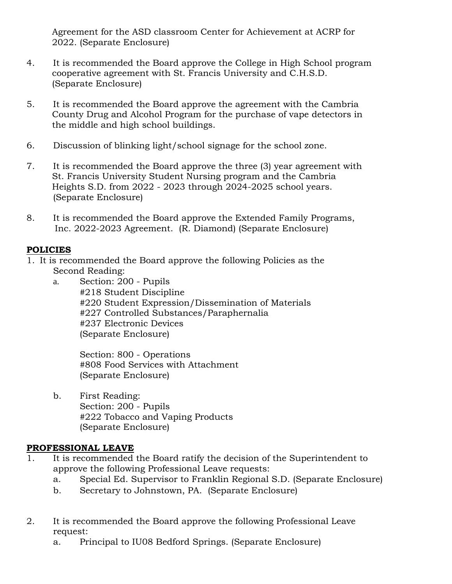Agreement for the ASD classroom Center for Achievement at ACRP for 2022. (Separate Enclosure)

- 4. It is recommended the Board approve the College in High School program cooperative agreement with St. Francis University and C.H.S.D. (Separate Enclosure)
- 5. It is recommended the Board approve the agreement with the Cambria County Drug and Alcohol Program for the purchase of vape detectors in the middle and high school buildings.
- 6. Discussion of blinking light/school signage for the school zone.
- 7. It is recommended the Board approve the three (3) year agreement with St. Francis University Student Nursing program and the Cambria Heights S.D. from 2022 - 2023 through 2024-2025 school years. (Separate Enclosure)
- 8. It is recommended the Board approve the Extended Family Programs, Inc. 2022-2023 Agreement. (R. Diamond) (Separate Enclosure)

# **POLICIES**

- 1. It is recommended the Board approve the following Policies as the Second Reading:
	- a. Section: 200 Pupils #218 Student Discipline #220 Student Expression/Dissemination of Materials #227 Controlled Substances/Paraphernalia #237 Electronic Devices (Separate Enclosure)

Section: 800 - Operations #808 Food Services with Attachment (Separate Enclosure)

b. First Reading: Section: 200 - Pupils #222 Tobacco and Vaping Products (Separate Enclosure)

# **PROFESSIONAL LEAVE**

- 1. It is recommended the Board ratify the decision of the Superintendent to approve the following Professional Leave requests:
	- a. Special Ed. Supervisor to Franklin Regional S.D. (Separate Enclosure)
	- b. Secretary to Johnstown, PA. (Separate Enclosure)
- 2. It is recommended the Board approve the following Professional Leave request:
	- a. Principal to IU08 Bedford Springs. (Separate Enclosure)